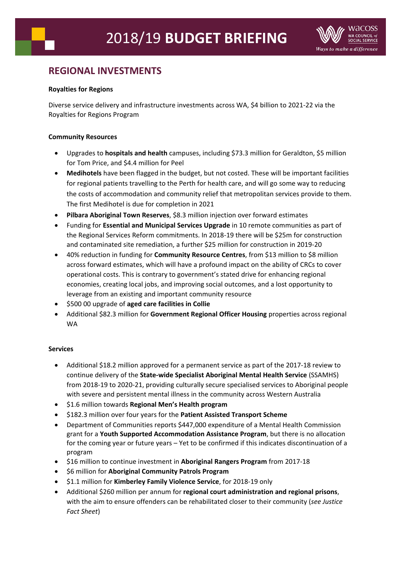# **REGIONAL INVESTMENTS**

## **Royalties for Regions**

Diverse service delivery and infrastructure investments across WA, \$4 billion to 2021-22 via the Royalties for Regions Program

## **Community Resources**

- Upgrades to **hospitals and health** campuses, including \$73.3 million for Geraldton, \$5 million for Tom Price, and \$4.4 million for Peel
- **Medihotels** have been flagged in the budget, but not costed. These will be important facilities for regional patients travelling to the Perth for health care, and will go some way to reducing the costs of accommodation and community relief that metropolitan services provide to them. The first Medihotel is due for completion in 2021
- **Pilbara Aboriginal Town Reserves**, \$8.3 million injection over forward estimates
- Funding for **Essential and Municipal Services Upgrade** in 10 remote communities as part of the Regional Services Reform commitments. In 2018-19 there will be \$25m for construction and contaminated site remediation, a further \$25 million for construction in 2019-20
- 40% reduction in funding for **Community Resource Centres**, from \$13 million to \$8 million across forward estimates, which will have a profound impact on the ability of CRCs to cover operational costs. This is contrary to government's stated drive for enhancing regional economies, creating local jobs, and improving social outcomes, and a lost opportunity to leverage from an existing and important community resource
- \$500 00 upgrade of **aged care facilities in Collie**
- Additional \$82.3 million for **Government Regional Officer Housing** properties across regional WA

## **Services**

- Additional \$18.2 million approved for a permanent service as part of the 2017-18 review to continue delivery of the **State-wide Specialist Aboriginal Mental Health Service** (SSAMHS) from 2018-19 to 2020-21, providing culturally secure specialised services to Aboriginal people with severe and persistent mental illness in the community across Western Australia
- \$1.6 million towards **Regional Men's Health program**
- \$182.3 million over four years for the **Patient Assisted Transport Scheme**
- Department of Communities reports \$447,000 expenditure of a Mental Health Commission grant for a **Youth Supported Accommodation Assistance Program**, but there is no allocation for the coming year or future years – Yet to be confirmed if this indicates discontinuation of a program
- \$16 million to continue investment in **Aboriginal Rangers Program** from 2017-18
- **•** \$6 million for Aboriginal Community Patrols Program
- \$1.1 million for **Kimberley Family Violence Service**, for 2018-19 only
- Additional \$260 million per annum for **regional court administration and regional prisons**, with the aim to ensure offenders can be rehabilitated closer to their community (*see Justice Fact Sheet*)